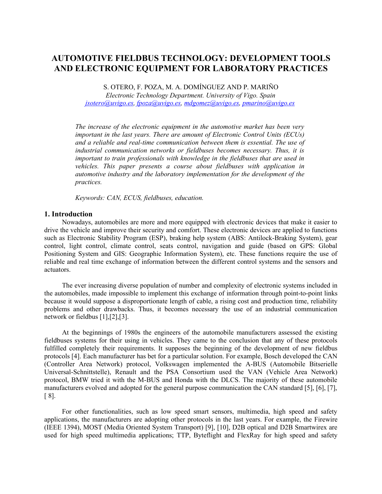# **AUTOMOTIVE FIELDBUS TECHNOLOGY: DEVELOPMENT TOOLS AND ELECTRONIC EQUIPMENT FOR LABORATORY PRACTICES**

S. OTERO, F. POZA, M. A. DOMÍNGUEZ AND P. MARIÑO

*Electronic Technology Department. University of Vigo. Spain [jsotero@uvigo.es,](mailto:jsotero@uvigo.es) [fpoza@uvigo.es,](mailto:fpoza@uvigo.es) [mdgomez@uvigo.es,](mailto:mdgomez@uvigo.es) [pmarino@uvigo.es](mailto:pmarino@uvigo.es)*

*The increase of the electronic equipment in the automotive market has been very important in the last years. There are amount of Electronic Control Units (ECUs) and a reliable and real-time communication between them is essential. The use of industrial communication networks or fieldbuses becomes necessary. Thus, it is important to train professionals with knowledge in the fieldbuses that are used in vehicles. This paper presents a course about fieldbuses with application in automotive industry and the laboratory implementation for the development of the practices.*

*Keywords: CAN, ECUS, fieldbuses, education.*

#### **1. Introduction**

Nowadays, automobiles are more and more equipped with electronic devices that make it easier to drive the vehicle and improve their security and comfort. These electronic devices are applied to functions such as Electronic Stability Program (ESP), braking help system (ABS: Antilock-Braking System), gear control, light control, climate control, seats control, navigation and guide (based on GPS: Global Positioning System and GIS: Geographic Information System), etc. These functions require the use of reliable and real time exchange of information between the different control systems and the sensors and actuators.

The ever increasing diverse population of number and complexity of electronic systems included in the automobiles, made impossible to implement this exchange of information through point-to-point links because it would suppose a disproportionate length of cable, a rising cost and production time, reliability problems and other drawbacks. Thus, it becomes necessary the use of an industrial communication network or fieldbus [1],[2],[3].

At the beginnings of 1980s the engineers of the automobile manufacturers assessed the existing fieldbuses systems for their using in vehicles. They came to the conclusion that any of these protocols fulfilled completely their requirements. It supposes the beginning of the development of new fieldbus protocols [4]. Each manufacturer has bet for a particular solution. For example, Bosch developed the CAN (Controller Area Network) protocol, Volkswagen implemented the A-BUS (Automobile Bitserielle Universal-Schnittstelle), Renault and the PSA Consortium used the VAN (Vehicle Area Network) protocol, BMW tried it with the M-BUS and Honda with the DLCS. The majority of these automobile manufacturers evolved and adopted for the general purpose communication the CAN standard [5], [6], [7], [ 8].

For other functionalities, such as low speed smart sensors, multimedia, high speed and safety applications, the manufacturers are adopting other protocols in the last years. For example, the Firewire (IEEE 1394), MOST (Media Oriented System Transport) [9], [10], D2B optical and D2B Smartwirex are used for high speed multimedia applications; TTP, Byteflight and FlexRay for high speed and safety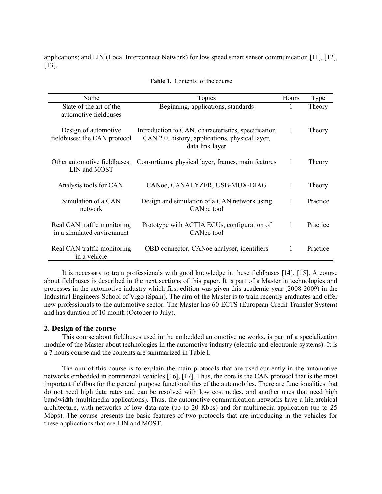applications; and LIN (Local Interconnect Network) for low speed smart sensor communication [11], [12], [13].

| Name                                                      | Topics                                                                                                                    | <b>Hours</b> | <b>Type</b> |
|-----------------------------------------------------------|---------------------------------------------------------------------------------------------------------------------------|--------------|-------------|
| State of the art of the<br>automotive fieldbuses          | Beginning, applications, standards                                                                                        | 1            | Theory      |
| Design of automotive<br>fieldbuses: the CAN protocol      | Introduction to CAN, characteristics, specification<br>CAN 2.0, history, applications, physical layer,<br>data link layer | 1            | Theory      |
| Other automotive fieldbuses:<br>LIN and MOST              | Consortiums, physical layer, frames, main features                                                                        | 1            | Theory      |
| Analysis tools for CAN                                    | CANoe, CANALYZER, USB-MUX-DIAG                                                                                            | 1            | Theory      |
| Simulation of a CAN<br>network                            | Design and simulation of a CAN network using<br>CANoe tool                                                                | 1            | Practice    |
| Real CAN traffic monitoring<br>in a simulated environment | Prototype with ACTIA ECUs, configuration of<br>CANoe tool                                                                 | 1            | Practice    |
| Real CAN traffic monitoring<br>in a vehicle               | OBD connector, CANoe analyser, identifiers                                                                                |              | Practice    |

**Table 1.** Contents of the course

It is necessary to train professionals with good knowledge in these fieldbuses [14], [15]. A course about fieldbuses is described in the next sections of this paper. It is part of a Master in technologies and processes in the automotive industry which first edition was given this academic year (2008-2009) in the Industrial Engineers School of Vigo (Spain). The aim of the Master is to train recently graduates and offer new professionals to the automotive sector. The Master has 60 ECTS (European Credit Transfer System) and has duration of 10 month (October to July).

# **2. Design of the course**

This course about fieldbuses used in the embedded automotive networks, is part of a specialization module of the Master about technologies in the automotive industry (electric and electronic systems). It is a 7 hours course and the contents are summarized in Table I.

The aim of this course is to explain the main protocols that are used currently in the automotive networks embedded in commercial vehicles [16], [17]. Thus, the core is the CAN protocol that is the most important fieldbus for the general purpose functionalities of the automobiles. There are functionalities that do not need high data rates and can be resolved with low cost nodes, and another ones that need high bandwidth (multimedia applications). Thus, the automotive communication networks have a hierarchical architecture, with networks of low data rate (up to 20 Kbps) and for multimedia application (up to 25 Mbps). The course presents the basic features of two protocols that are introducing in the vehicles for these applications that are LIN and MOST.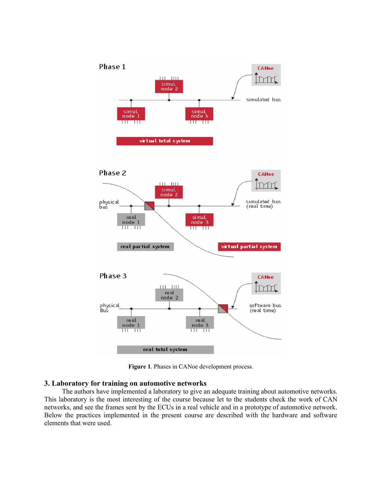

**Figure 1**. Phases in CANoe development process.

### **3. Laboratory for training on automotive networks**

The authors have implemented a laboratory to give an adequate training about automotive networks. This laboratory is the most interesting of the course because let to the students check the work of CAN networks, and see the frames sent by the ECUs in a real vehicle and in a prototype of automotive network. Below the practices implemented in the present course are described with the hardware and software elements that were used.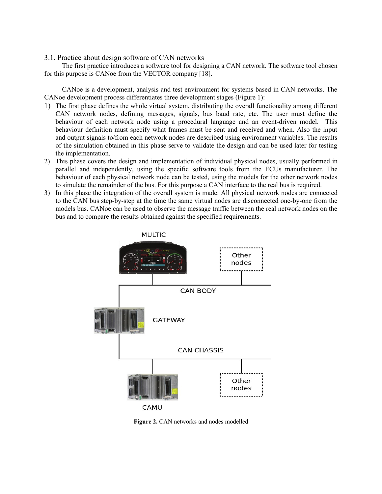## 3.1. Practice about design software of CAN networks

The first practice introduces a software tool for designing a CAN network. The software tool chosen for this purpose is CANoe from the VECTOR company [18].

CANoe is a development, analysis and test environment for systems based in CAN networks. The CANoe development process differentiates three development stages (Figure 1):

- 1) The first phase defines the whole virtual system, distributing the overall functionality among different CAN network nodes, defining messages, signals, bus baud rate, etc. The user must define the behaviour of each network node using a procedural language and an event-driven model. This behaviour definition must specify what frames must be sent and received and when. Also the input and output signals to/from each network nodes are described using environment variables. The results of the simulation obtained in this phase serve to validate the design and can be used later for testing the implementation.
- 2) This phase covers the design and implementation of individual physical nodes, usually performed in parallel and independently, using the specific software tools from the ECUs manufacturer. The behaviour of each physical network node can be tested, using the models for the other network nodes to simulate the remainder of the bus. For this purpose a CAN interface to the real bus is required.
- 3) In this phase the integration of the overall system is made. All physical network nodes are connected to the CAN bus step-by-step at the time the same virtual nodes are disconnected one-by-one from the models bus. CANoe can be used to observe the message traffic between the real network nodes on the bus and to compare the results obtained against the specified requirements.



Figure 2. CAN networks and nodes modelled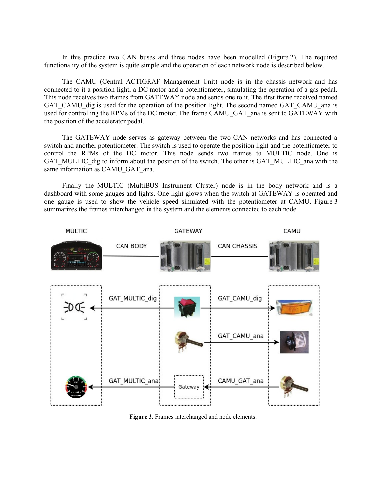In this practice two CAN buses and three nodes have been modelled (Figure 2). The required functionality of the system is quite simple and the operation of each network node is described below.

The CAMU (Central ACTIGRAF Management Unit) node is in the chassis network and has connected to it a position light, a DC motor and a potentiometer, simulating the operation of a gas pedal. This node receives two frames from GATEWAY node and sends one to it. The first frame received named GAT\_CAMU\_dig is used for the operation of the position light. The second named GAT\_CAMU\_ana is used for controlling the RPMs of the DC motor. The frame CAMU\_GAT\_ana is sent to GATEWAY with the position of the accelerator pedal.

The GATEWAY node serves as gateway between the two CAN networks and has connected a switch and another potentiometer. The switch is used to operate the position light and the potentiometer to control the RPMs of the DC motor. This node sends two frames to MULTIC node. One is GAT\_MULTIC\_dig to inform about the position of the switch. The other is GAT\_MULTIC\_ana with the same information as CAMU\_GAT\_ana.

Finally the MULTIC (MultiBUS Instrument Cluster) node is in the body network and is a dashboard with some gauges and lights. One light glows when the switch at GATEWAY is operated and one gauge is used to show the vehicle speed simulated with the potentiometer at CAMU. Figure 3 summarizes the frames interchanged in the system and the elements connected to each node.



**Figure 3.** Frames interchanged and node elements.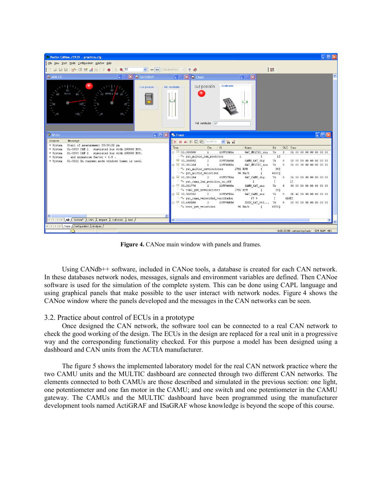

**Figure 4.** CANoe main window with panels and frames.

Using CANdb++ software, included in CANoe tools, a database is created for each CAN network. In these databases network nodes, messages, signals and environment variables are defined. Then CANoe software is used for the simulation of the complete system. This can be done using CAPL language and using graphical panels that make possible to the user interact with network nodes. Figure 4 shows the CANoe window where the panels developed and the messages in the CAN networks can be seen.

# 3.2. Practice about control of ECUs in a prototype

Once designed the CAN network, the software tool can be connected to a real CAN network to check the good working of the design. The ECUs in the design are replaced for a real unit in a progressive way and the corresponding functionality checked. For this purpose a model has been designed using a dashboard and CAN units from the ACTIA manufacturer.

The figure 5 shows the implemented laboratory model for the real CAN network practice where the two CAMU units and the MULTIC dashboard are connected through two different CAN networks. The elements connected to both CAMUs are those described and simulated in the previous section: one light, one potentiometer and one fan motor in the CAMU; and one switch and one potentiometer in the CAMU gateway. The CAMUs and the MULTIC dashboard have been programmed using the manufacturer development tools named ActiGRAF and ISaGRAF whose knowledge is beyond the scope of this course.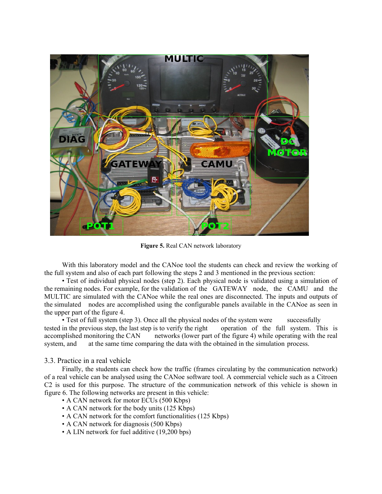

**Figure 5.** Real CAN network laboratory

With this laboratory model and the CANoe tool the students can check and review the working of the full system and also of each part following the steps 2 and 3 mentioned in the previous section:

• Test of individual physical nodes (step 2). Each physical node is validated using a simulation of the remaining nodes. For example, for the validation of the GATEWAY node, the CAMU and the MULTIC are simulated with the CANoe while the real ones are disconnected. The inputs and outputs of the simulated nodes are accomplished using the configurable panels available in the CANoe as seen in the upper part of the figure 4.

• Test of full system (step 3). Once all the physical nodes of the system were successfully tested in the previous step, the last step is to verify the right operation of the full system. This is accomplished monitoring the CAN networks (lower part of the figure 4) while operating with the real system, and at the same time comparing the data with the obtained in the simulation process.

# 3.3. Practice in a real vehicle

Finally, the students can check how the traffic (frames circulating by the communication network) of a real vehicle can be analysed using the CANoe software tool. A commercial vehicle such as a Citroen C2 is used for this purpose. The structure of the communication network of this vehicle is shown in figure 6. The following networks are present in this vehicle:

- A CAN network for motor ECUs (500 Kbps)
- A CAN network for the body units (125 Kbps)
- A CAN network for the comfort functionalities (125 Kbps)
- A CAN network for diagnosis (500 Kbps)
- A LIN network for fuel additive (19,200 bps)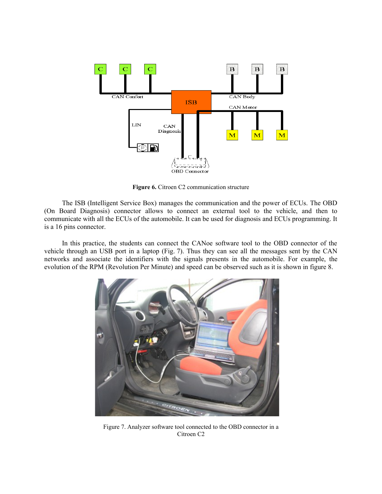

**Figure 6.** Citroen C2 communication structure

The ISB (Intelligent Service Box) manages the communication and the power of ECUs. The OBD (On Board Diagnosis) connector allows to connect an external tool to the vehicle, and then to communicate with all the ECUs of the automobile. It can be used for diagnosis and ECUs programming. It is a 16 pins connector.

In this practice, the students can connect the CANoe software tool to the OBD connector of the vehicle through an USB port in a laptop (Fig. 7). Thus they can see all the messages sent by the CAN networks and associate the identifiers with the signals presents in the automobile. For example, the evolution of the RPM (Revolution Per Minute) and speed can be observed such as it is shown in figure 8.



Figure 7. Analyzer software tool connected to the OBD connector in a Citroen C2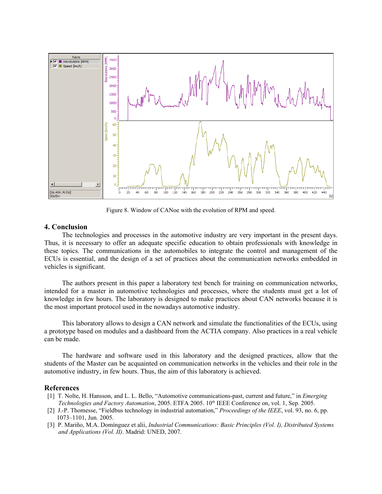

Figure 8. Window of CANoe with the evolution of RPM and speed.

## **4. Conclusion**

The technologies and processes in the automotive industry are very important in the present days. Thus, it is necessary to offer an adequate specific education to obtain professionals with knowledge in these topics. The communications in the automobiles to integrate the control and management of the ECUs is essential, and the design of a set of practices about the communication networks embedded in vehicles is significant.

The authors present in this paper a laboratory test bench for training on communication networks, intended for a master in automotive technologies and processes, where the students must get a lot of knowledge in few hours. The laboratory is designed to make practices about CAN networks because it is the most important protocol used in the nowadays automotive industry.

This laboratory allows to design a CAN network and simulate the functionalities of the ECUs, using a prototype based on modules and a dashboard from the ACTIA company. Also practices in a real vehicle can be made.

The hardware and software used in this laboratory and the designed practices, allow that the students of the Master can be acquainted on communication networks in the vehicles and their role in the automotive industry, in few hours. Thus, the aim of this laboratory is achieved.

### **References**

- [1] T. Nolte, H. Hansson, and L. L. Bello, "Automotive communications-past, current and future," in *Emerging Technologies and Factory Automation*, 2005. ETFA 2005. 10th IEEE Conference on, vol. 1, Sep. 2005.
- [2] J.-P. Thomesse, "Fieldbus technology in industrial automation," *Proceedings of the IEEE*, vol. 93, no. 6, pp. 1073–1101, Jun. 2005.
- [3] P. Mariño, M.A. Domínguez et alii, *Industrial Communications: Basic Principles (Vol. I), Distributed Systems and Applications (Vol. II)*. Madrid: UNED, 2007.